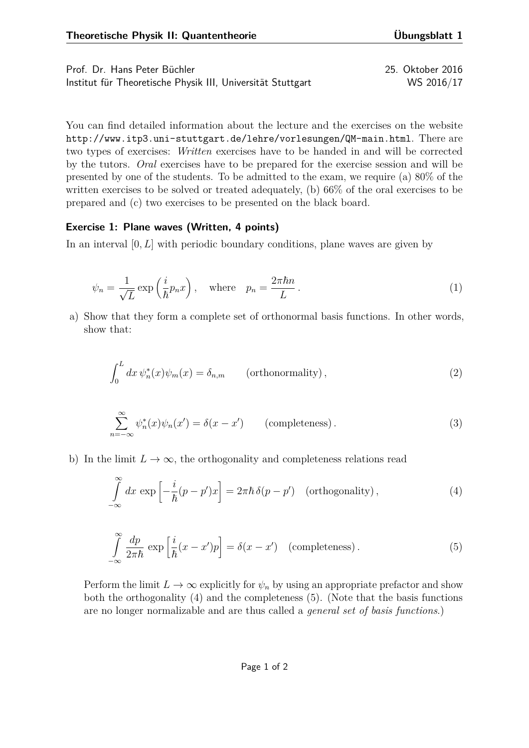| Prof. Dr. Hans Peter Büchler                                | 25. Oktober 2016 |
|-------------------------------------------------------------|------------------|
| Institut für Theoretische Physik III, Universität Stuttgart | WS 2016/17       |

You can find detailed information about the lecture and the exercises on the website <http://www.itp3.uni-stuttgart.de/lehre/vorlesungen/QM-main.html>. There are two types of exercises: *Written* exercises have to be handed in and will be corrected by the tutors. *Oral* exercises have to be prepared for the exercise session and will be presented by one of the students. To be admitted to the exam, we require (a) 80% of the written exercises to be solved or treated adequately, (b) 66% of the oral exercises to be prepared and (c) two exercises to be presented on the black board.

## **Exercise 1: Plane waves (Written, 4 points)**

In an interval [0, L] with periodic boundary conditions, plane waves are given by

$$
\psi_n = \frac{1}{\sqrt{L}} \exp\left(\frac{i}{\hbar} p_n x\right), \quad \text{where} \quad p_n = \frac{2\pi \hbar n}{L} \,. \tag{1}
$$

a) Show that they form a complete set of orthonormal basis functions. In other words, show that:

$$
\int_0^L dx \, \psi_n^*(x) \psi_m(x) = \delta_{n,m} \qquad \text{(orthonormality)},
$$
\n(2)

$$
\sum_{n=-\infty}^{\infty} \psi_n^*(x)\psi_n(x') = \delta(x - x') \qquad \text{(completeness)}.
$$
 (3)

b) In the limit  $L \to \infty$ , the orthogonality and completeness relations read

<span id="page-0-0"></span>
$$
\int_{-\infty}^{\infty} dx \exp\left[-\frac{i}{\hbar}(p-p')x\right] = 2\pi\hbar\,\delta(p-p') \quad \text{(orthogonality)},\tag{4}
$$

<span id="page-0-1"></span>
$$
\int_{-\infty}^{\infty} \frac{dp}{2\pi\hbar} \exp\left[\frac{i}{\hbar}(x-x')p\right] = \delta(x-x') \quad \text{(completeness)}\,. \tag{5}
$$

Perform the limit  $L \to \infty$  explicitly for  $\psi_n$  by using an appropriate prefactor and show both the orthogonality [\(4\)](#page-0-0) and the completeness [\(5\)](#page-0-1). (Note that the basis functions are no longer normalizable and are thus called a *general set of basis functions*.)